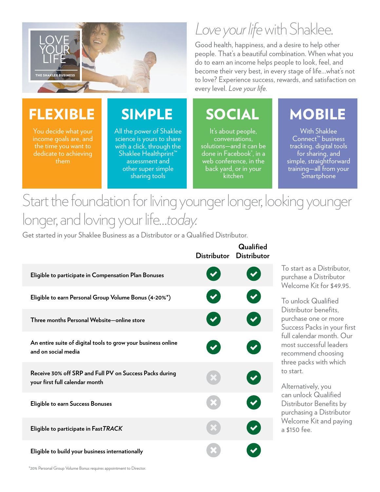

You decide what your income goals are, and

dedicate to achieving them

# *Love your life* with Shaklee.

Good health, happiness, and a desire to help other people. That's a beautiful combination. When what you do to earn an income helps people to look, feel, and become their very best, in every stage of life…what's not to love? Experience success, rewards, and satisfaction on every level. *Love your life.*

It's about people, conversations, solutions—and it can be done in Facebook® , in a web conference, in the back yard, or in your kitchen

### FLEXIBLE SIMPLE SOCIAL MOBILE

With Shaklee Connect™ business tracking, digital tools for sharing, and simple, straightforward training—all from your **Smartphone** 

## Start the foundation for living younger longer, looking younger longer, and loving your life…*today.*

Get started in your Shaklee Business as a Distributor or a Qualified Distributor.

All the power of Shaklee science is yours to share with a click, through the Shaklee Healthprint" assessment and other super simple sharing tools

|                                                                                           | <b>Distributor</b>   | Qualified<br><b>Distributor</b> |
|-------------------------------------------------------------------------------------------|----------------------|---------------------------------|
| Eligible to participate in Compensation Plan Bonuses                                      | $\blacktriangledown$ |                                 |
| Eligible to earn Personal Group Volume Bonus (4-20%*)                                     | $\blacktriangledown$ |                                 |
| Three months Personal Website-online store                                                | $\blacktriangledown$ | $\blacktriangledown$            |
| An entire suite of digital tools to grow your business online<br>and on social media      |                      |                                 |
| Receive 30% off SRP and Full PV on Success Packs during<br>your first full calendar month |                      |                                 |
| <b>Eligible to earn Success Bonuses</b>                                                   |                      |                                 |
| Eligible to participate in Fast TRACK                                                     |                      |                                 |
| Eligible to build your business internationally                                           |                      |                                 |

To start as a Distributor, purchase a Distributor Welcome Kit for \$49.95

To unlock Qualified Distributor benefits, purchase one or more Success Packs in your first full calendar month. Our most successful leaders recommend choosing three packs with which to start.

Alternatively, you can unlock Qualified Distributor Benefits by purchasing a Distributor Welcome Kit and paying a \$150 fee.